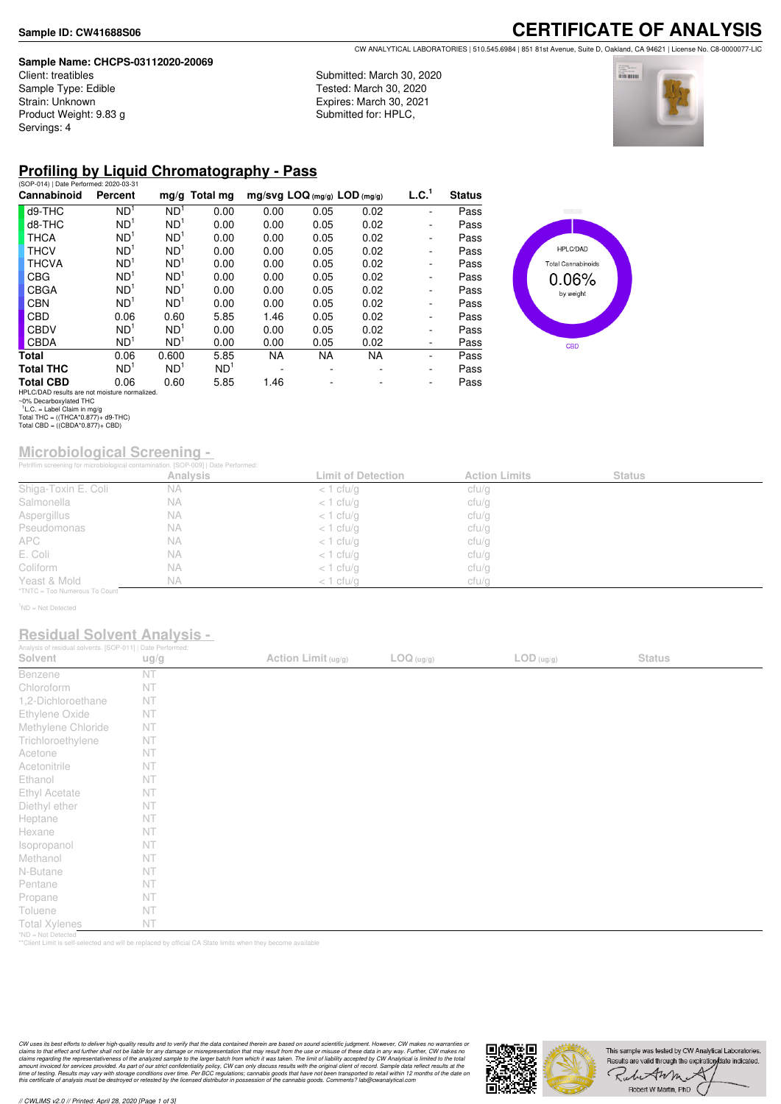#### **Sample Name: CHCPS-03112020-20069**

Client: treatibles Sample Type: Edible Strain: Unknown Product Weight: 9.83 g Servings: 4

**CERTIFICATE OF ANALYSIS** CW ANALYTICAL LABORATORIES | 510.545.6984 | 851 81st Avenue, Suite D, Oakland, CA 94621 | License No. C8-0000077-LIC

Submitted: March 30, 2020 Tested: March 30, 2020 Expires: March 30, 2021 Submitted for: HPLC,



## **Profiling by Liquid Chromatography - Pass**

| (SOP-014)   Date Performed: 2020-03-31       |                 |                 |                 |                                |           |           |                   |               |
|----------------------------------------------|-----------------|-----------------|-----------------|--------------------------------|-----------|-----------|-------------------|---------------|
| Cannabinoid                                  | Percent         |                 | $mg/g$ Total mg | $mg/svg$ LOQ (mg/g) LOD (mg/g) |           |           | L.C. <sup>1</sup> | <b>Status</b> |
| d9-THC                                       | ND <sup>1</sup> | ND <sup>1</sup> | 0.00            | 0.00                           | 0.05      | 0.02      | ۰                 | Pass          |
| d8-THC                                       | ND <sup>1</sup> | ND <sup>1</sup> | 0.00            | 0.00                           | 0.05      | 0.02      | ۰                 | Pass          |
| <b>THCA</b>                                  | ND <sup>1</sup> | ND <sup>1</sup> | 0.00            | 0.00                           | 0.05      | 0.02      | ۰                 | Pass          |
| <b>THCV</b>                                  | ND <sup>1</sup> | ND <sup>1</sup> | 0.00            | 0.00                           | 0.05      | 0.02      | ۰                 | Pass          |
| <b>THCVA</b>                                 | ND <sup>1</sup> | ND <sup>1</sup> | 0.00            | 0.00                           | 0.05      | 0.02      | ۰                 | Pass          |
| <b>CBG</b>                                   | ND <sup>1</sup> | ND <sup>1</sup> | 0.00            | 0.00                           | 0.05      | 0.02      | ۰                 | Pass          |
| <b>CBGA</b>                                  | ND <sup>1</sup> | ND <sup>1</sup> | 0.00            | 0.00                           | 0.05      | 0.02      | -                 | Pass          |
| <b>CBN</b>                                   | ND <sup>1</sup> | ND <sup>1</sup> | 0.00            | 0.00                           | 0.05      | 0.02      | ۰                 | Pass          |
| <b>CBD</b>                                   | 0.06            | 0.60            | 5.85            | 1.46                           | 0.05      | 0.02      | ۰                 | Pass          |
| <b>CBDV</b>                                  | ND <sup>1</sup> | ND <sup>1</sup> | 0.00            | 0.00                           | 0.05      | 0.02      | ٠                 | Pass          |
| <b>CBDA</b>                                  | ND <sup>1</sup> | ND <sup>1</sup> | 0.00            | 0.00                           | 0.05      | 0.02      | -                 | Pass          |
| Total                                        | 0.06            | 0.600           | 5.85            | <b>NA</b>                      | <b>NA</b> | <b>NA</b> | -                 | Pass          |
| <b>Total THC</b>                             | ND <sup>1</sup> | ND <sup>1</sup> | ND <sup>1</sup> |                                |           |           | -                 | Pass          |
| <b>Total CBD</b>                             | 0.06            | 0.60            | 5.85            | 1.46                           |           |           | ٠                 | Pass          |
| HPLC/DAD results are not mojsture normalized |                 |                 |                 |                                |           |           |                   |               |



HPLC/DAD results are not moisture normalized. ~0% Decarboxylated THC 1 L.C. = Label Claim in mg/g Total THC = ((THCA\*0.877)+ d9-THC) Total CBD = ((CBDA\*0.877)+ CBD)

# **Microbiological Screening -**

|                               | Petriflim screening for microbiological contamination. [SOP-009]   Date Performed: |                           |                      |               |  |
|-------------------------------|------------------------------------------------------------------------------------|---------------------------|----------------------|---------------|--|
|                               | <b>Analysis</b>                                                                    | <b>Limit of Detection</b> | <b>Action Limits</b> | <b>Status</b> |  |
| Shiga-Toxin E. Coli           | <b>NA</b>                                                                          | $<$ 1 cfu/g               | cfu/g                |               |  |
| Salmonella                    | NА                                                                                 | $<$ 1 cfu/g               | cfu/g                |               |  |
| Aspergillus                   | <b>NA</b>                                                                          | $<$ 1 cfu/g               | cfu/g                |               |  |
| Pseudomonas                   | <b>NA</b>                                                                          | $<$ 1 cfu/g               | cfu/g                |               |  |
| <b>APC</b>                    | <b>NA</b>                                                                          | $<$ 1 cfu/g               | cfu/g                |               |  |
| E. Coli                       | <b>NA</b>                                                                          | $<$ 1 cfu/g               | cfu/g                |               |  |
| Coliform                      | <b>NA</b>                                                                          | $<$ 1 cfu/g               | cfu/g                |               |  |
| Yeast & Mold                  | <b>NA</b>                                                                          | $<$ 1 cfu/g               | cfu/g                |               |  |
| *TNTC = Too Numerous To Count |                                                                                    |                           |                      |               |  |

<sup>1</sup>ND = Not Detected

### **Residual Solvent Analysis -**

| Analysis of residual solvents. [SOP-011]   Date Performed: |      |                     |            |                                          |               |  |
|------------------------------------------------------------|------|---------------------|------------|------------------------------------------|---------------|--|
| Solvent                                                    | ug/g | Action Limit (ug/g) | LOG (ug/g) | $\mathsf{LOD}\left(\mathsf{ug/g}\right)$ | <b>Status</b> |  |
| Benzene                                                    | NT   |                     |            |                                          |               |  |
| Chloroform                                                 | NT   |                     |            |                                          |               |  |
| 1,2-Dichloroethane                                         | NT   |                     |            |                                          |               |  |
| Ethylene Oxide                                             | NT   |                     |            |                                          |               |  |
| Methylene Chloride                                         | NT   |                     |            |                                          |               |  |
| Trichloroethylene                                          | NT   |                     |            |                                          |               |  |
| Acetone                                                    | NT   |                     |            |                                          |               |  |
| Acetonitrile                                               | NT   |                     |            |                                          |               |  |
| Ethanol                                                    | NT   |                     |            |                                          |               |  |
| Ethyl Acetate                                              | NT   |                     |            |                                          |               |  |
| Diethyl ether                                              | NT   |                     |            |                                          |               |  |
| Heptane                                                    | NT   |                     |            |                                          |               |  |
| Hexane                                                     | NT   |                     |            |                                          |               |  |
| Isopropanol                                                | NT   |                     |            |                                          |               |  |
| Methanol                                                   | NT   |                     |            |                                          |               |  |
| N-Butane                                                   | NT   |                     |            |                                          |               |  |
| Pentane                                                    | NT   |                     |            |                                          |               |  |
| Propane                                                    | NT   |                     |            |                                          |               |  |
| Toluene                                                    | NT   |                     |            |                                          |               |  |
| <b>Total Xylenes</b>                                       | NT   |                     |            |                                          |               |  |
| *ND = Not Detected                                         |      |                     |            |                                          |               |  |

\*ND = Not Detected \*\*Client Limit is self-selected and will be replaced by official CA State limits when they become available

CW uses its best efforts to deliver high-quality results and to verify that the data contained therein are based on sound scientific judgment. However, CW makes no warranties or<br>claims to that effect and turther shall not

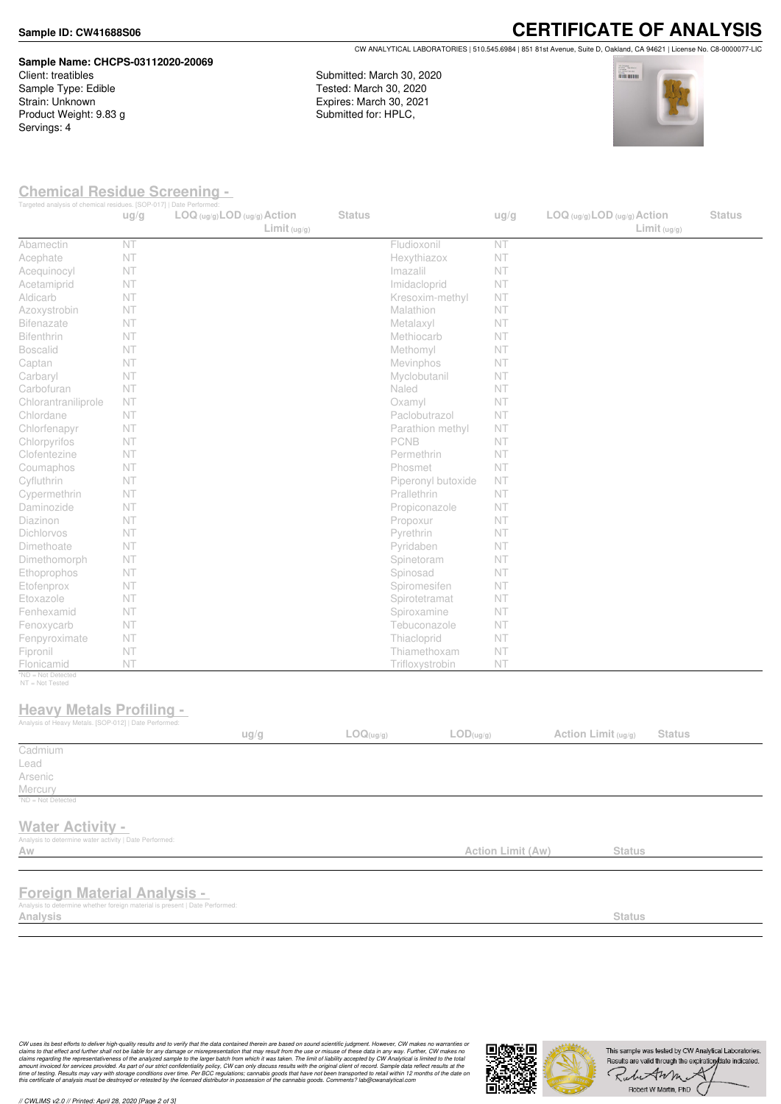#### **Sample ID: CW41688S06**

#### **Sample Name: CHCPS-03112020-20069** Client: treatibles

Sample Type: Edible Strain: Unknown Product Weight: 9.83 g Servings: 4

**CERTIFICATE OF ANALYSIS** CW ANALYTICAL LABORATORIES | 510.545.6984 | 851 81st Avenue, Suite D, Oakland, CA 94621 | License No. C8-0000077-LIC

Submitted: March 30, 2020 Tested: March 30, 2020 Expires: March 30, 2021 Submitted for: HPLC,



## **Chemical Residue Screening -**

| Targeted analysis of chemical residues. [SOP-017]   Date Performed:                      | ug/g | $LOG (ug/g)$ <i>LOD</i> $(ug/g)$ <i>Action</i><br>Limit <sub>(ug/g)</sub> | <b>Status</b> |                               | ug/g                     | $LOG$ (ug/g) $LOD$ (ug/g) $Action$<br>Limit <sub>(ug/g)</sub> | <b>Status</b> |
|------------------------------------------------------------------------------------------|------|---------------------------------------------------------------------------|---------------|-------------------------------|--------------------------|---------------------------------------------------------------|---------------|
| Abamectin                                                                                | NT   |                                                                           |               | Fludioxonil                   | NT                       |                                                               |               |
| Acephate                                                                                 | NT   |                                                                           |               | Hexythiazox                   | NT                       |                                                               |               |
| Acequinocyl                                                                              | NT   |                                                                           |               | Imazalil                      | NT                       |                                                               |               |
| Acetamiprid                                                                              | NT   |                                                                           |               | Imidacloprid                  | NT                       |                                                               |               |
| Aldicarb                                                                                 | NT   |                                                                           |               | Kresoxim-methyl               | NT.                      |                                                               |               |
| Azoxystrobin                                                                             | NT   |                                                                           |               | Malathion                     | NT                       |                                                               |               |
| <b>Bifenazate</b>                                                                        | NT   |                                                                           |               | Metalaxyl                     | NT                       |                                                               |               |
| Bifenthrin                                                                               | NT   |                                                                           |               | Methiocarb                    | NT                       |                                                               |               |
| <b>Boscalid</b>                                                                          | NT   |                                                                           |               | Methomyl                      | NT.                      |                                                               |               |
| Captan                                                                                   | NT   |                                                                           |               | Mevinphos                     | NT                       |                                                               |               |
| Carbaryl                                                                                 | NT   |                                                                           |               | Myclobutanil                  | NT                       |                                                               |               |
| Carbofuran                                                                               | NT   |                                                                           |               | Naled                         | NT                       |                                                               |               |
| Chlorantraniliprole                                                                      | NT   |                                                                           |               | Oxamyl                        | NT                       |                                                               |               |
| Chlordane                                                                                | NT   |                                                                           |               | Paclobutrazol                 | NT                       |                                                               |               |
| Chlorfenapyr                                                                             | NT   |                                                                           |               | Parathion methyl              | NT.                      |                                                               |               |
| Chlorpyrifos                                                                             | NT   |                                                                           |               | <b>PCNB</b>                   | NT                       |                                                               |               |
| Clofentezine                                                                             | NT   |                                                                           |               | Permethrin                    | NT                       |                                                               |               |
| Coumaphos                                                                                | NT   |                                                                           |               | Phosmet                       | NT                       |                                                               |               |
| Cyfluthrin                                                                               | NT   |                                                                           |               | Piperonyl butoxide            | NT                       |                                                               |               |
| Cypermethrin                                                                             | NT   |                                                                           |               | Prallethrin                   | NT.                      |                                                               |               |
| Daminozide                                                                               | NT   |                                                                           |               | Propiconazole                 | NT.                      |                                                               |               |
| Diazinon                                                                                 | NT   |                                                                           |               | Propoxur                      | NT                       |                                                               |               |
| Dichlorvos                                                                               | NT   |                                                                           |               | Pyrethrin                     | NT                       |                                                               |               |
| Dimethoate                                                                               | NT   |                                                                           |               | Pyridaben                     | NT                       |                                                               |               |
| Dimethomorph                                                                             | NT   |                                                                           |               | Spinetoram                    | NT                       |                                                               |               |
| Ethoprophos                                                                              | NT   |                                                                           |               | Spinosad                      | NT.                      |                                                               |               |
| Etofenprox                                                                               | NT   |                                                                           |               | Spiromesifen                  | NT                       |                                                               |               |
| Etoxazole                                                                                | NT   |                                                                           |               | Spirotetramat                 | NT                       |                                                               |               |
| Fenhexamid                                                                               | NT   |                                                                           |               | Spiroxamine                   | NT                       |                                                               |               |
| Fenoxycarb                                                                               | NT   |                                                                           |               | Tebuconazole                  | NT                       |                                                               |               |
| Fenpyroximate                                                                            | NT   |                                                                           |               | Thiacloprid                   | NT                       |                                                               |               |
| Fipronil                                                                                 | NT   |                                                                           |               | Thiamethoxam                  | NT                       |                                                               |               |
| Flonicamid<br>*ND = Not Detected<br>$NT = Not$ Tested                                    | NT   |                                                                           |               | Trifloxystrobin               | NT                       |                                                               |               |
| <b>Heavy Metals Profiling -</b><br>Analysis of Heavy Metals. [SOP-012]   Date Performed: |      |                                                                           |               |                               |                          |                                                               |               |
|                                                                                          |      | ug/g                                                                      | LOG(ug/g)     | $\mathsf{LOD}(\mathsf{ug/g})$ |                          | Action Limit (ug/g)<br><b>Status</b>                          |               |
| Cadmium                                                                                  |      |                                                                           |               |                               |                          |                                                               |               |
| Lead                                                                                     |      |                                                                           |               |                               |                          |                                                               |               |
| Arsenic                                                                                  |      |                                                                           |               |                               |                          |                                                               |               |
| Mercury                                                                                  |      |                                                                           |               |                               |                          |                                                               |               |
| <sup>1</sup> ND = Not Detected                                                           |      |                                                                           |               |                               |                          |                                                               |               |
| <b>Water Activity -</b>                                                                  |      |                                                                           |               |                               |                          |                                                               |               |
| Analysis to determine water activity   Date Performed:                                   |      |                                                                           |               |                               |                          |                                                               |               |
| Aw                                                                                       |      |                                                                           |               |                               | <b>Action Limit (Aw)</b> | <b>Status</b>                                                 |               |
|                                                                                          |      |                                                                           |               |                               |                          |                                                               |               |
| <b>Foreign Material Analysis -</b>                                                       |      |                                                                           |               |                               |                          |                                                               |               |
| Analysis to determine whether foreign material is present   Date Performed:              |      |                                                                           |               |                               |                          |                                                               |               |
| Analysis                                                                                 |      |                                                                           |               |                               |                          | <b>Status</b>                                                 |               |

CW uses its best efforts to deliver high-quality results and to verify that the data contained therein are based on sound scientific judgment. However, CW makes no warranties or<br>claims to that effect and turther shall not